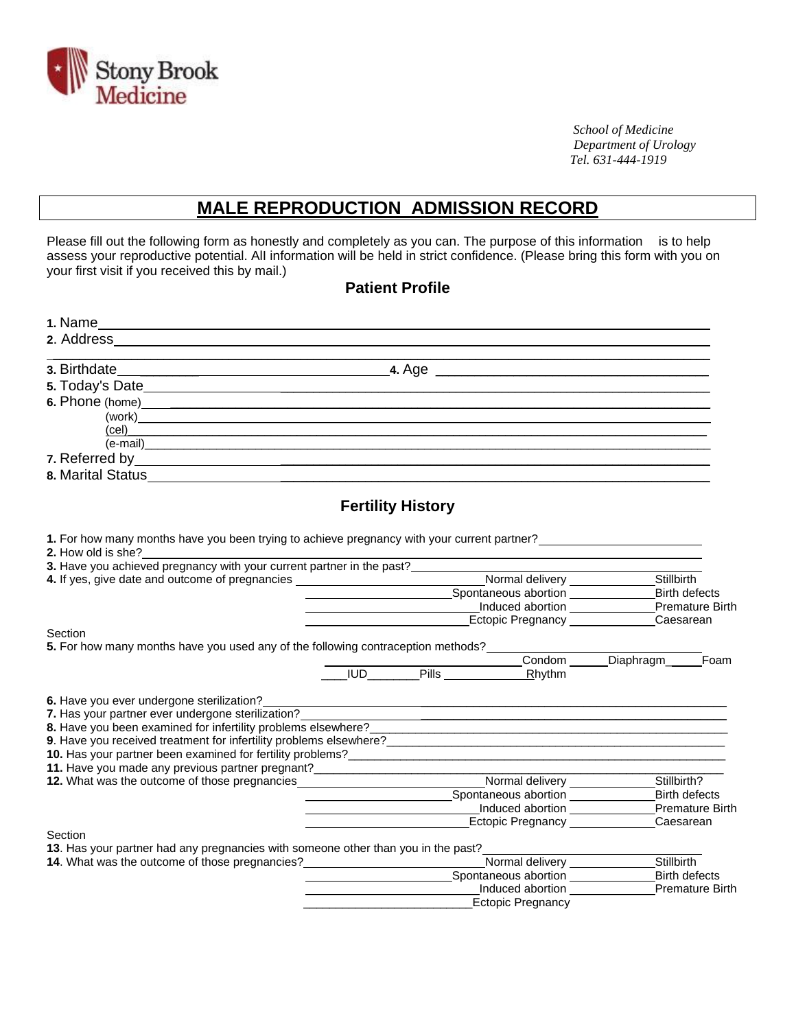

 *School of Medicine Department of Urology Tel. 631-444-1919*

## **MALE REPRODUCTION ADMISSION RECORD**

Please fill out the following form as honestly and completely as you can. The purpose of this information is to help assess your reproductive potential. AlI information will be held in strict confidence. (Please bring this form with you on your first visit if you received this by mail.)

#### **Patient Profile**

| 2. Address and the contract of the contract of the contract of the contract of the contract of the contract of |                                                                                                                                                                                                                                                              |                                            |
|----------------------------------------------------------------------------------------------------------------|--------------------------------------------------------------------------------------------------------------------------------------------------------------------------------------------------------------------------------------------------------------|--------------------------------------------|
|                                                                                                                |                                                                                                                                                                                                                                                              |                                            |
|                                                                                                                |                                                                                                                                                                                                                                                              |                                            |
|                                                                                                                |                                                                                                                                                                                                                                                              |                                            |
|                                                                                                                |                                                                                                                                                                                                                                                              |                                            |
|                                                                                                                | $\left(\text{cel}\right)$                                                                                                                                                                                                                                    |                                            |
| $\overline{(e\text{-mail})}$                                                                                   |                                                                                                                                                                                                                                                              |                                            |
|                                                                                                                |                                                                                                                                                                                                                                                              |                                            |
| 8. Marital Status                                                                                              |                                                                                                                                                                                                                                                              |                                            |
|                                                                                                                | <b>Fertility History</b>                                                                                                                                                                                                                                     |                                            |
|                                                                                                                | 1. For how many months have you been trying to achieve pregnancy with your current partner?                                                                                                                                                                  |                                            |
| 2. How old is she?                                                                                             |                                                                                                                                                                                                                                                              |                                            |
|                                                                                                                |                                                                                                                                                                                                                                                              |                                            |
|                                                                                                                | 4. If yes, give date and outcome of pregnancies _________________________________Normal delivery ______________Stillbirth                                                                                                                                    |                                            |
|                                                                                                                |                                                                                                                                                                                                                                                              | <b>Birth defects</b>                       |
|                                                                                                                | Monday of the Contract Contract Contract Contract Contract Contract Contract Contract Contract Contract Contract Contract Contract Contract Contract Contract Contract Contract Contract Contract Contract Contract Contract C                               |                                            |
|                                                                                                                | Ectopic Pregnancy Caesarean<br>Ectopic Pregnancy Caesarean                                                                                                                                                                                                   |                                            |
| Section                                                                                                        |                                                                                                                                                                                                                                                              |                                            |
|                                                                                                                | 5. For how many months have you used any of the following contraception methods?                                                                                                                                                                             |                                            |
|                                                                                                                |                                                                                                                                                                                                                                                              | Condom Diaphragm Foam                      |
|                                                                                                                | <b>IUD</b> Pills Rhythm                                                                                                                                                                                                                                      |                                            |
| 6. Have you ever undergone sterilization?                                                                      |                                                                                                                                                                                                                                                              |                                            |
| 7. Has your partner ever undergone sterilization?                                                              | <u> 1989 - Johann Stein, mars an deutscher Stein und der Stein und der Stein und der Stein und der Stein und der</u>                                                                                                                                         |                                            |
|                                                                                                                | 8. Have you been examined for infertility problems elsewhere?                                                                                                                                                                                                |                                            |
|                                                                                                                | 9. Have you received treatment for infertility problems elsewhere?<br>Subsequently according to the control of the control of the control of the control of the control of the control of the control of the control of the cont                             |                                            |
|                                                                                                                | 10. Has your partner been examined for fertility problems?<br>The manufacturer of the contract of the contract of the contract of the contract of the contract of the contract of the contract of the contract of the contract o                             |                                            |
| 11. Have you made any previous partner pregnant?________________________________                               |                                                                                                                                                                                                                                                              |                                            |
| 12. What was the outcome of those pregnancies                                                                  | Normal delivery <b>Normal</b>                                                                                                                                                                                                                                | Stillbirth?                                |
|                                                                                                                |                                                                                                                                                                                                                                                              | <b>Birth defects</b>                       |
|                                                                                                                | Induced abortion ______________                                                                                                                                                                                                                              | <b>Premature Birth</b>                     |
|                                                                                                                |                                                                                                                                                                                                                                                              | Ectopic Pregnancy _______________Caesarean |
| Section                                                                                                        |                                                                                                                                                                                                                                                              |                                            |
| 13. Has your partner had any pregnancies with someone other than you in the past?                              |                                                                                                                                                                                                                                                              |                                            |
| 14. What was the outcome of those pregnancies?                                                                 |                                                                                                                                                                                                                                                              | <b>Birth defects</b>                       |
|                                                                                                                | Spontaneous abortion<br>Induced abortion <b>contains the set of the set of the set of the set of the set of the set of the set of the set of the set of the set of the set of the set of the set of the set of the set of the set of the set of the set </b> | Premature Birth                            |
|                                                                                                                | <b>Ectopic Pregnancy</b>                                                                                                                                                                                                                                     |                                            |
|                                                                                                                |                                                                                                                                                                                                                                                              |                                            |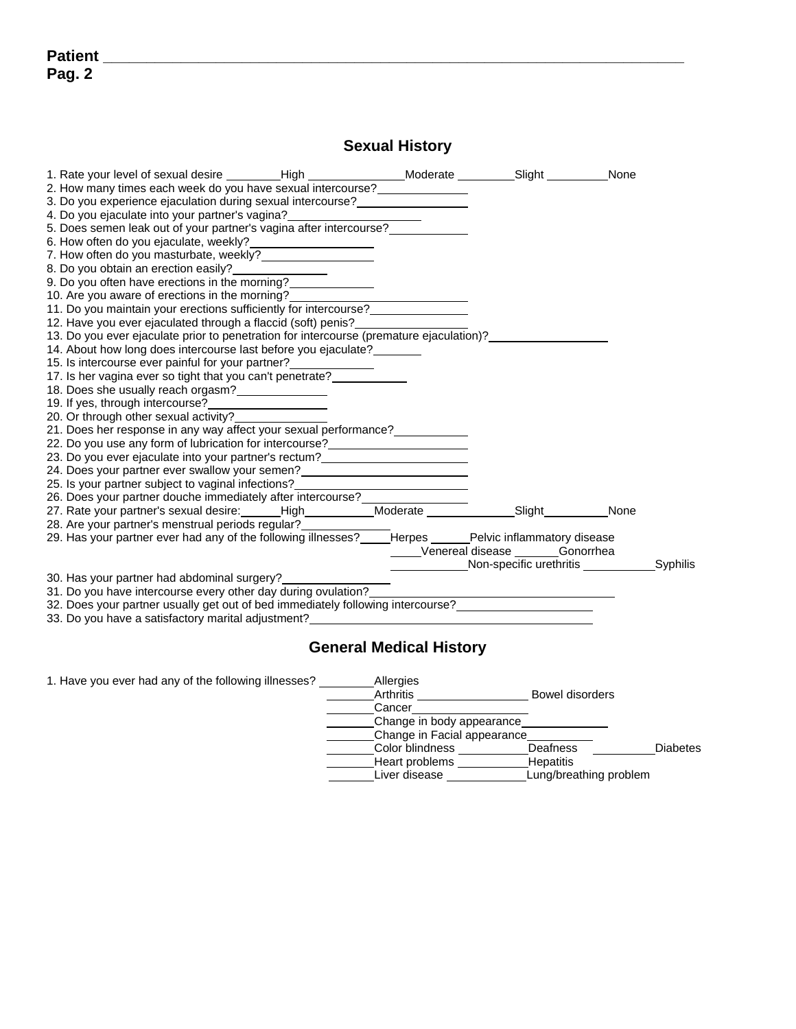### **Sexual History**

| 1. Rate your level of sexual desire _________High ____________________Moderate __________Slight __________None                                                                                                                         |  |                                                 |      |  |
|----------------------------------------------------------------------------------------------------------------------------------------------------------------------------------------------------------------------------------------|--|-------------------------------------------------|------|--|
| 2. How many times each week do you have sexual intercourse?                                                                                                                                                                            |  |                                                 |      |  |
| 3. Do you experience ejaculation during sexual intercourse?                                                                                                                                                                            |  |                                                 |      |  |
| 4. Do you ejaculate into your partner's vagina?                                                                                                                                                                                        |  |                                                 |      |  |
| 5. Does semen leak out of your partner's vagina after intercourse?_______                                                                                                                                                              |  |                                                 |      |  |
|                                                                                                                                                                                                                                        |  |                                                 |      |  |
| 7. How often do you masturbate, weekly?                                                                                                                                                                                                |  |                                                 |      |  |
| 8. Do you obtain an erection easily?<br><u>Letter and the set of the set of the set of the set of the set of the set of the set of the set of the set of the set of the set of the set of the set of the set of the set of the set</u> |  |                                                 |      |  |
| 9. Do you often have erections in the morning?                                                                                                                                                                                         |  |                                                 |      |  |
| 10. Are you aware of erections in the morning?                                                                                                                                                                                         |  |                                                 |      |  |
| 11. Do you maintain your erections sufficiently for intercourse?                                                                                                                                                                       |  |                                                 |      |  |
|                                                                                                                                                                                                                                        |  |                                                 |      |  |
| 12. Have you ever ejaculated through a flaccid (soft) penis?<br>13. Do you ever ejaculate prior to penetration for intercourse (premature ejaculation)?                                                                                |  |                                                 |      |  |
| 14. About how long does intercourse last before you ejaculate?                                                                                                                                                                         |  |                                                 |      |  |
| 15. Is intercourse ever painful for your partner?                                                                                                                                                                                      |  |                                                 |      |  |
| 17. Is her vagina ever so tight that you can't penetrate?                                                                                                                                                                              |  |                                                 |      |  |
| 18. Does she usually reach orgasm?                                                                                                                                                                                                     |  |                                                 |      |  |
|                                                                                                                                                                                                                                        |  |                                                 |      |  |
| 20. Or through other sexual activity?                                                                                                                                                                                                  |  |                                                 |      |  |
| 21. Does her response in any way affect your sexual performance?                                                                                                                                                                       |  |                                                 |      |  |
| 22. Do you use any form of lubrication for intercourse?<br><u> </u>                                                                                                                                                                    |  |                                                 |      |  |
|                                                                                                                                                                                                                                        |  |                                                 |      |  |
| 24. Does your partner ever swallow your semen?                                                                                                                                                                                         |  |                                                 |      |  |
| 25. Is your partner subject to vaginal infections?<br><u> </u>                                                                                                                                                                         |  |                                                 |      |  |
| 26. Does your partner douche immediately after intercourse?________________                                                                                                                                                            |  |                                                 |      |  |
| 27. Rate your partner's sexual desire: ______High____________Moderate _______________Slight_________                                                                                                                                   |  |                                                 | None |  |
| 28. Are your partner's menstrual periods regular?                                                                                                                                                                                      |  |                                                 |      |  |
| 29. Has your partner ever had any of the following illnesses? _____Herpes ______Pelvic inflammatory disease                                                                                                                            |  |                                                 |      |  |
|                                                                                                                                                                                                                                        |  | Venereal disease _______Gonorrhea               |      |  |
|                                                                                                                                                                                                                                        |  | Non-specific urethritis _______________Syphilis |      |  |
| 30. Has your partner had abdominal surgery?                                                                                                                                                                                            |  |                                                 |      |  |
| 31. Do you have intercourse every other day during ovulation?                                                                                                                                                                          |  |                                                 |      |  |
|                                                                                                                                                                                                                                        |  |                                                 |      |  |
| 33. Do you have a satisfactory marital adjustment? And the same control of the same control of the same control of the same control of the same control of the same control of the same control of the same control of the sam         |  |                                                 |      |  |
|                                                                                                                                                                                                                                        |  |                                                 |      |  |

#### **General Medical History**

1. Have you ever had any of the following illnesses? Allergies

| Allergies                   |                        |                 |
|-----------------------------|------------------------|-----------------|
| Arthritis                   | Bowel disorders        |                 |
| Cancer                      |                        |                 |
| Change in body appearance   |                        |                 |
| Change in Facial appearance |                        |                 |
| Color blindness             | Deafness               | <b>Diabetes</b> |
| Heart problems              | <b>Hepatitis</b>       |                 |
| Liver disease               | Lung/breathing problem |                 |
|                             |                        |                 |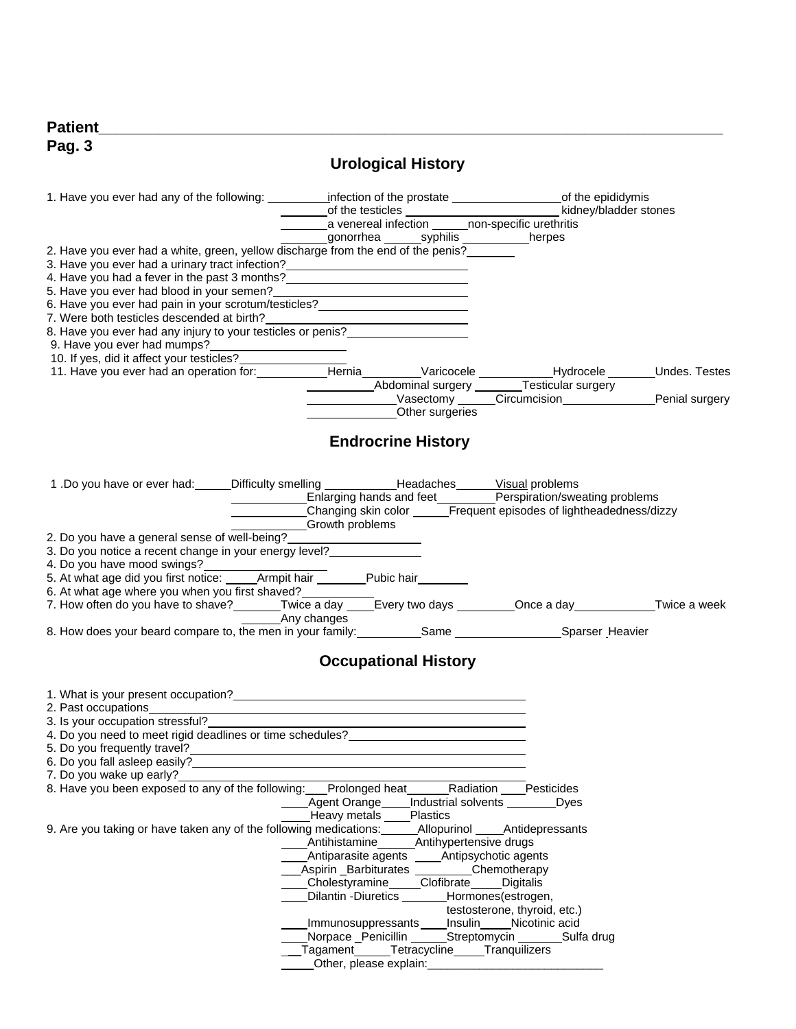| $D - 1$<br>Рит<br>. |  |  |
|---------------------|--|--|
| Pag. $3$<br>.       |  |  |

# **Urological History**

|                                                                                                                                                                                                                                                                                                                |             |                       |                                                                                  | a venereal infection ______ non-specific urethritis                   |  |
|----------------------------------------------------------------------------------------------------------------------------------------------------------------------------------------------------------------------------------------------------------------------------------------------------------------|-------------|-----------------------|----------------------------------------------------------------------------------|-----------------------------------------------------------------------|--|
|                                                                                                                                                                                                                                                                                                                |             |                       | _gonorrhea _______syphilis ____________herpes                                    |                                                                       |  |
| 2. Have you ever had a white, green, yellow discharge from the end of the penis?                                                                                                                                                                                                                               |             |                       |                                                                                  |                                                                       |  |
| 3. Have you ever had a urinary tract infection?<br><u> and a set of the contract infection</u><br>4. Have you had a fever in the past 3 months?<br><u>Letter and the subsequence</u> with the past 3 months?<br>1. Have you had a fever in the past 3 months?<br>1. Have you had a fever in the past 3 months? |             |                       |                                                                                  |                                                                       |  |
| 5. Have you ever had blood in your semen?<br><u> </u>                                                                                                                                                                                                                                                          |             |                       |                                                                                  |                                                                       |  |
| 6. Have you ever had pain in your scrotum/testicles?<br><u>Case of the set of the set of the set of the set of the set of the set of the set of the set of the set of the set of the set of the set of the set of the set of the s</u>                                                                         |             |                       |                                                                                  |                                                                       |  |
| 7. Were both testicles descended at birth?                                                                                                                                                                                                                                                                     |             |                       |                                                                                  |                                                                       |  |
| 8. Have you ever had any injury to your testicles or penis?                                                                                                                                                                                                                                                    |             |                       |                                                                                  |                                                                       |  |
| 9. Have you ever had mumps?                                                                                                                                                                                                                                                                                    |             |                       |                                                                                  |                                                                       |  |
| 10. If yes, did it affect your testicles?                                                                                                                                                                                                                                                                      |             |                       |                                                                                  |                                                                       |  |
|                                                                                                                                                                                                                                                                                                                |             |                       |                                                                                  | Abdominal surgery _______Testicular surgery                           |  |
|                                                                                                                                                                                                                                                                                                                |             |                       |                                                                                  | LASSEN Circumcision LASSEN MARGIN Penial surgery                      |  |
|                                                                                                                                                                                                                                                                                                                |             |                       | Other surgeries                                                                  |                                                                       |  |
|                                                                                                                                                                                                                                                                                                                |             |                       |                                                                                  |                                                                       |  |
|                                                                                                                                                                                                                                                                                                                |             |                       | <b>Endrocrine History</b>                                                        |                                                                       |  |
|                                                                                                                                                                                                                                                                                                                |             |                       |                                                                                  |                                                                       |  |
| 1.Do you have or ever had: Difficulty smelling ______________Headaches _______Visual problems<br>Enlarging hands and feet _________Perspiration/sweating problems                                                                                                                                              |             |                       |                                                                                  |                                                                       |  |
|                                                                                                                                                                                                                                                                                                                |             |                       |                                                                                  |                                                                       |  |
|                                                                                                                                                                                                                                                                                                                |             |                       |                                                                                  | Changing skin color _______Frequent episodes of lightheadedness/dizzy |  |
| 2. Do you have a general sense of well-being?_                                                                                                                                                                                                                                                                 |             | Growth problems       |                                                                                  |                                                                       |  |
| 3. Do you notice a recent change in your energy level?                                                                                                                                                                                                                                                         |             |                       |                                                                                  |                                                                       |  |
| 4. Do you have mood swings?                                                                                                                                                                                                                                                                                    |             |                       |                                                                                  |                                                                       |  |
|                                                                                                                                                                                                                                                                                                                |             |                       |                                                                                  |                                                                       |  |
| 6. At what age where you when you first shaved?                                                                                                                                                                                                                                                                |             |                       |                                                                                  |                                                                       |  |
| 7. How often do you have to shave? _______Twice a day _____Every two days ________Once a day ___________Twice a week                                                                                                                                                                                           | Any changes |                       |                                                                                  |                                                                       |  |
| 8. How does your beard compare to, the men in your family: __________Same ____________________Sparser_Heavier                                                                                                                                                                                                  |             |                       |                                                                                  |                                                                       |  |
|                                                                                                                                                                                                                                                                                                                |             |                       |                                                                                  |                                                                       |  |
|                                                                                                                                                                                                                                                                                                                |             |                       | <b>Occupational History</b>                                                      |                                                                       |  |
| 1. What is your present occupation?<br><u> and</u> the state of the state of the state of the state of the state of the state of the state of the state of the state of the state of the state of the state of the state of the state                                                                          |             |                       |                                                                                  |                                                                       |  |
| 2. Past occupations experience of the state of the state of the state of the state of the state of the state of the state of the state of the state of the state of the state of the state of the state of the state of the st                                                                                 |             |                       |                                                                                  |                                                                       |  |
| 3. Is your occupation stressful?                                                                                                                                                                                                                                                                               |             |                       | <u> 1989 - Johann Barn, fransk politik (d. 1989)</u>                             |                                                                       |  |
| 4. Do you need to meet rigid deadlines or time schedules?                                                                                                                                                                                                                                                      |             |                       |                                                                                  |                                                                       |  |
| 5. Do you frequently travel?<br>6. Do you fall asleep easily?                                                                                                                                                                                                                                                  |             |                       |                                                                                  |                                                                       |  |
| 7. Do you wake up early?                                                                                                                                                                                                                                                                                       |             |                       |                                                                                  |                                                                       |  |
| 8. Have you been exposed to any of the following: Prolonged heat Radiation Pesticides                                                                                                                                                                                                                          |             |                       |                                                                                  |                                                                       |  |
|                                                                                                                                                                                                                                                                                                                |             |                       |                                                                                  | Agent Orange _____ Industrial solvents __________ Dyes                |  |
|                                                                                                                                                                                                                                                                                                                |             | Heavy metals Plastics |                                                                                  |                                                                       |  |
| 9. Are you taking or have taken any of the following medications: _______Allopurinol _____Antidepressants                                                                                                                                                                                                      |             |                       |                                                                                  |                                                                       |  |
|                                                                                                                                                                                                                                                                                                                |             |                       | Antihistamine Antihypertensive drugs<br>Antiparasite agents Antipsychotic agents |                                                                       |  |
|                                                                                                                                                                                                                                                                                                                |             |                       | Aspirin Barbiturates Chemotherapy                                                |                                                                       |  |
|                                                                                                                                                                                                                                                                                                                |             | Cholestyramine        | Clofibrate                                                                       | Digitalis                                                             |  |
|                                                                                                                                                                                                                                                                                                                |             | Dilantin - Diuretics  |                                                                                  | Hormones(estrogen,                                                    |  |
|                                                                                                                                                                                                                                                                                                                |             |                       |                                                                                  | testosterone, thyroid, etc.)                                          |  |
|                                                                                                                                                                                                                                                                                                                |             | Immunosuppressants    |                                                                                  | Insulin_____Nicotinic acid                                            |  |
|                                                                                                                                                                                                                                                                                                                |             |                       |                                                                                  | Norpace Penicillin ______Streptomycin _________ Sulfa drug            |  |
|                                                                                                                                                                                                                                                                                                                |             |                       | Tagament______Tetracycline_____Tranquilizers<br>Other, please explain:           |                                                                       |  |
|                                                                                                                                                                                                                                                                                                                |             |                       |                                                                                  |                                                                       |  |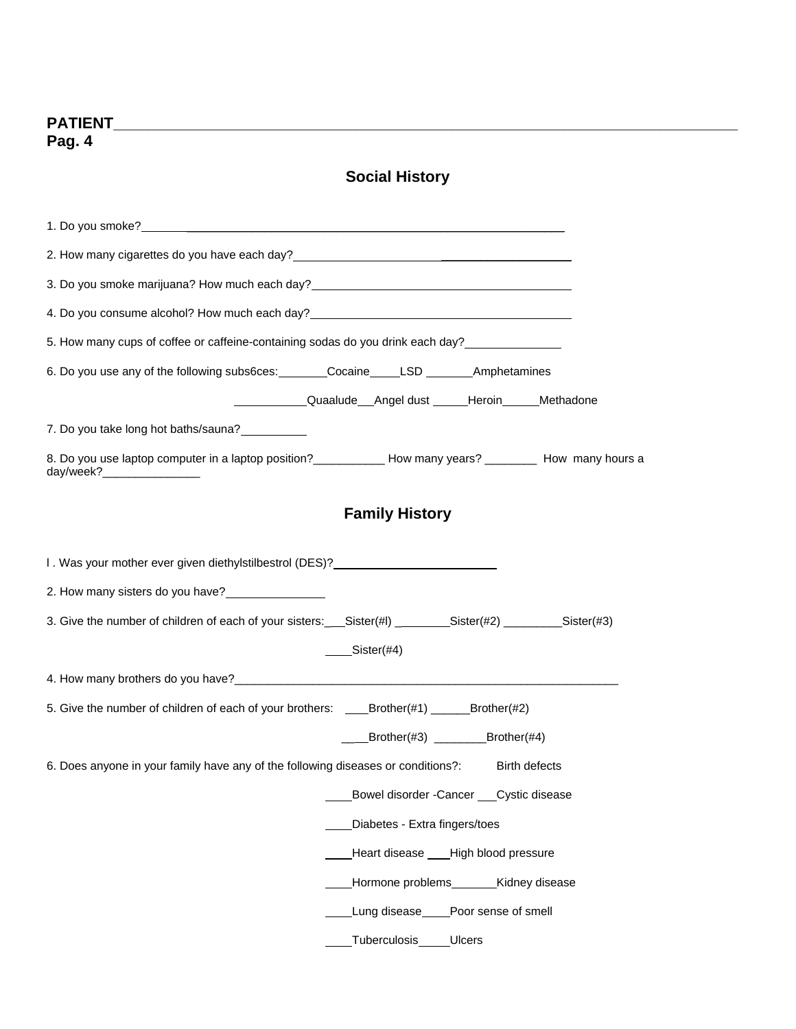# **Social History**

| 2. How many cigarettes do you have each day?<br><u> and the manus control of the secondary control of the second of the second of the second of the second of the second of the second of the second of the second of the second o</u> |
|----------------------------------------------------------------------------------------------------------------------------------------------------------------------------------------------------------------------------------------|
| 3. Do you smoke marijuana? How much each day?<br>Sand Do you smoke marijuana? How much each day?<br>Sand Day 2. The manus and the manus and the manus and the manus and the manus and the manus and the manus and                      |
|                                                                                                                                                                                                                                        |
|                                                                                                                                                                                                                                        |
| 6. Do you use any of the following subs6ces: Cocaine LSD ________ Amphetamines                                                                                                                                                         |
| ______________Quaalude___Angel dust ______Heroin______Methadone                                                                                                                                                                        |
| 7. Do you take long hot baths/sauna?                                                                                                                                                                                                   |
| 8. Do you use laptop computer in a laptop position?_____________ How many years? _________ How many hours a<br>day/week?___________________                                                                                            |
| <b>Family History</b>                                                                                                                                                                                                                  |
| I. Was your mother ever given diethylstilbestrol (DES)?                                                                                                                                                                                |
| 2. How many sisters do you have?                                                                                                                                                                                                       |
| 3. Give the number of children of each of your sisters: Sister(#1) ________Sister(#2) _________Sister(#3)                                                                                                                              |
| $Sister(\#4)$                                                                                                                                                                                                                          |
|                                                                                                                                                                                                                                        |
| 5. Give the number of children of each of your brothers: _____Brother(#1) _______Brother(#2)                                                                                                                                           |
| $\angle$ Brother(#3) $\angle$ Brother(#4)                                                                                                                                                                                              |
| 6. Does anyone in your family have any of the following diseases or conditions?:<br><b>Birth defects</b>                                                                                                                               |
| Bowel disorder - Cancer Cystic disease                                                                                                                                                                                                 |
| Diabetes - Extra fingers/toes                                                                                                                                                                                                          |
| Heart disease ___ High blood pressure                                                                                                                                                                                                  |
| Hormone problems________Kidney disease                                                                                                                                                                                                 |
| Lung disease____Poor sense of smell                                                                                                                                                                                                    |
| Tuberculosis<br><b>Ulcers</b>                                                                                                                                                                                                          |